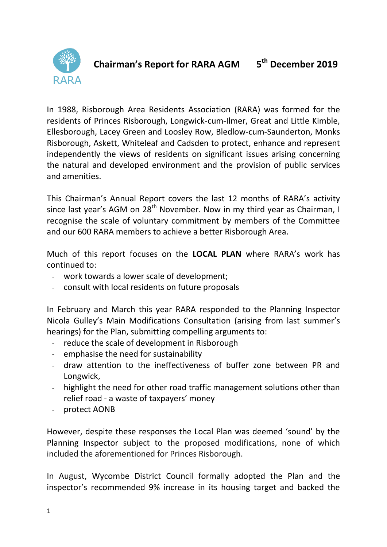

#### **Chairman's Report for RARA AGM 5 th December 2019**

In 1988, Risborough Area Residents Association (RARA) was formed for the residents of Princes Risborough, Longwick-cum-Ilmer, Great and Little Kimble, Ellesborough, Lacey Green and Loosley Row, Bledlow-cum-Saunderton, Monks Risborough, Askett, Whiteleaf and Cadsden to protect, enhance and represent independently the views of residents on significant issues arising concerning the natural and developed environment and the provision of public services and amenities.

This Chairman's Annual Report covers the last 12 months of RARA's activity since last year's AGM on  $28<sup>th</sup>$  November. Now in my third year as Chairman, I recognise the scale of voluntary commitment by members of the Committee and our 600 RARA members to achieve a better Risborough Area.

Much of this report focuses on the **LOCAL PLAN** where RARA's work has continued to:

- work towards a lower scale of development;
- consult with local residents on future proposals

In February and March this year RARA responded to the Planning Inspector Nicola Gulley's Main Modifications Consultation (arising from last summer's hearings) for the Plan, submitting compelling arguments to:

- reduce the scale of development in Risborough
- emphasise the need for sustainability
- draw attention to the ineffectiveness of buffer zone between PR and Longwick,
- highlight the need for other road traffic management solutions other than relief road - a waste of taxpayers' money
- protect AONB

However, despite these responses the Local Plan was deemed 'sound' by the Planning Inspector subject to the proposed modifications, none of which included the aforementioned for Princes Risborough.

In August, Wycombe District Council formally adopted the Plan and the inspector's recommended 9% increase in its housing target and backed the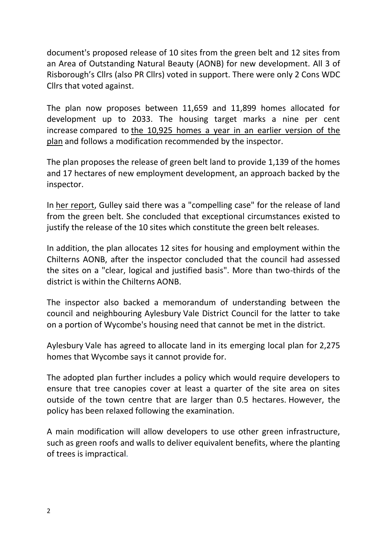document's proposed release of 10 sites from the green belt and 12 sites from an Area of Outstanding Natural Beauty (AONB) for new development. All 3 of Risborough's Cllrs (also PR Cllrs) voted in support. There were only 2 Cons WDC Cllrs that voted against.

The plan now proposes between 11,659 and 11,899 homes allocated for development up to 2033. The housing target marks a nine per cent increase compared to [the 10,925 homes a year in an earlier version of the](http://www.planningresource.co.uk/article/1461785/bucks-council-unveils-housing-delivery-boost-nearly-40-per-cent-draft-plan)  [plan](http://www.planningresource.co.uk/article/1461785/bucks-council-unveils-housing-delivery-boost-nearly-40-per-cent-draft-plan) and follows a modification recommended by the inspector.

The plan proposes the release of green belt land to provide 1,139 of the homes and 17 hectares of new employment development, an approach backed by the inspector.

In [her report,](http://cached.offlinehbpl.hbpl.co.uk/NewsAttachments/RLP/Wycombe_LP_IR1.pdf) Gulley said there was a "compelling case" for the release of land from the green belt. She concluded that exceptional circumstances existed to justify the release of the 10 sites which constitute the green belt releases.

In addition, the plan allocates 12 sites for housing and employment within the Chilterns AONB, after the inspector concluded that the council had assessed the sites on a "clear, logical and justified basis". More than two-thirds of the district is within the Chilterns AONB.

The inspector also backed a memorandum of understanding between the council and neighbouring Aylesbury Vale District Council for the latter to take on a portion of Wycombe's housing need that cannot be met in the district.

Aylesbury Vale has agreed to allocate land in its emerging local plan for 2,275 homes that Wycombe says it cannot provide for.

The adopted plan further includes a policy which would require developers to ensure that tree canopies cover at least a quarter of the site area on sites outside of the town centre that are larger than 0.5 hectares. However, the policy has been relaxed following the examination.

A main modification will allow developers to use other green infrastructure, such as green roofs and walls to deliver equivalent benefits, where the planting of trees is impractical.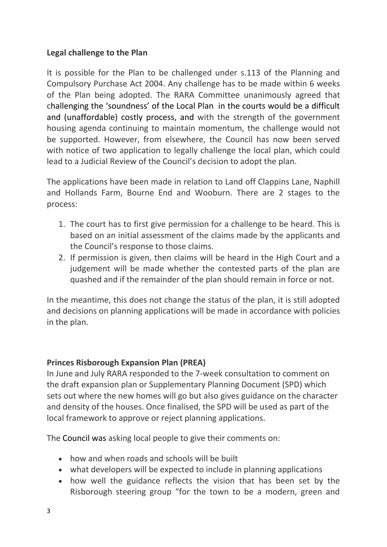# **Legal challenge to the Plan**

It is possible for the Plan to be challenged under s.113 of the Planning and Compulsory Purchase Act 2004. Any challenge has to be made within 6 weeks of the Plan being adopted. The RARA Committee unanimously agreed that challenging the 'soundness' of the Local Plan in the courts would be a difficult and (unaffordable) costly process, and with the strength of the government housing agenda continuing to maintain momentum, the challenge would not be supported. However, from elsewhere, the Council has now been served with notice of two application to legally challenge the local plan, which could lead to a Judicial Review of the Council's decision to adopt the plan.

The applications have been made in relation to Land off Clappins Lane, Naphill and Hollands Farm, Bourne End and Wooburn. There are 2 stages to the process:

- 1. The court has to first give permission for a challenge to be heard. This is based on an initial assessment of the claims made by the applicants and the Council's response to those claims.
- 2. If permission is given, then claims will be heard in the High Court and a judgement will be made whether the contested parts of the plan are quashed and if the remainder of the plan should remain in force or not.

In the meantime, this does not change the status of the plan, it is still adopted and decisions on planning applications will be made in accordance with policies in the plan.

# **Princes Risborough Expansion Plan (PREA)**

In June and July RARA responded to the 7-week consultation to comment on the draft expansion plan or Supplementary Planning Document (SPD) which sets out where the new homes will go but also gives guidance on the character and density of the houses. Once finalised, the SPD will be used as part of the local framework to approve or reject planning applications.

The Council was asking local people to give their comments on:

- how and when roads and schools will be built
- what developers will be expected to include in planning applications
- how well the guidance reflects the vision that has been set by the Risborough steering group "for the town to be a modern, green and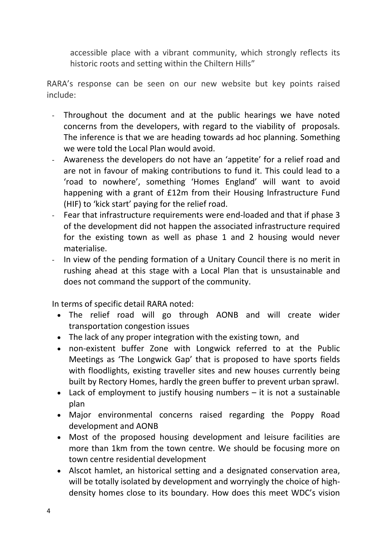accessible place with a vibrant community, which strongly reflects its historic roots and setting within the Chiltern Hills"

RARA's response can be seen on our new website but key points raised include:

- Throughout the document and at the public hearings we have noted concerns from the developers, with regard to the viability of proposals. The inference is that we are heading towards ad hoc planning. Something we were told the Local Plan would avoid.
- Awareness the developers do not have an 'appetite' for a relief road and are not in favour of making contributions to fund it. This could lead to a 'road to nowhere', something 'Homes England' will want to avoid happening with a grant of £12m from their Housing Infrastructure Fund (HIF) to 'kick start' paying for the relief road.
- Fear that infrastructure requirements were end-loaded and that if phase 3 of the development did not happen the associated infrastructure required for the existing town as well as phase 1 and 2 housing would never materialise.
- In view of the pending formation of a Unitary Council there is no merit in rushing ahead at this stage with a Local Plan that is unsustainable and does not command the support of the community.

In terms of specific detail RARA noted:

- The relief road will go through AONB and will create wider transportation congestion issues
- The lack of any proper integration with the existing town, and
- non-existent buffer Zone with Longwick referred to at the Public Meetings as 'The Longwick Gap' that is proposed to have sports fields with floodlights, existing traveller sites and new houses currently being built by Rectory Homes, hardly the green buffer to prevent urban sprawl.
- Lack of employment to justify housing numbers it is not a sustainable plan
- Major environmental concerns raised regarding the Poppy Road development and AONB
- Most of the proposed housing development and leisure facilities are more than 1km from the town centre. We should be focusing more on town centre residential development
- Alscot hamlet, an historical setting and a designated conservation area, will be totally isolated by development and worryingly the choice of highdensity homes close to its boundary. How does this meet WDC's vision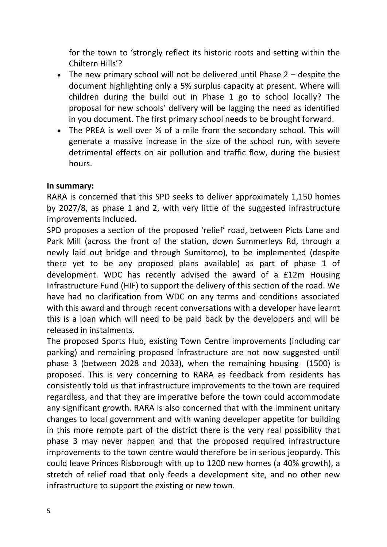for the town to 'strongly reflect its historic roots and setting within the Chiltern Hills'?

- The new primary school will not be delivered until Phase 2 despite the document highlighting only a 5% surplus capacity at present. Where will children during the build out in Phase 1 go to school locally? The proposal for new schools' delivery will be lagging the need as identified in you document. The first primary school needs to be brought forward.
- The PREA is well over 34 of a mile from the secondary school. This will generate a massive increase in the size of the school run, with severe detrimental effects on air pollution and traffic flow, during the busiest hours.

#### **In summary:**

RARA is concerned that this SPD seeks to deliver approximately 1,150 homes by 2027/8, as phase 1 and 2, with very little of the suggested infrastructure improvements included.

SPD proposes a section of the proposed 'relief' road, between Picts Lane and Park Mill (across the front of the station, down Summerleys Rd, through a newly laid out bridge and through Sumitomo), to be implemented (despite there yet to be any proposed plans available) as part of phase 1 of development. WDC has recently advised the award of a £12m Housing Infrastructure Fund (HIF) to support the delivery of this section of the road. We have had no clarification from WDC on any terms and conditions associated with this award and through recent conversations with a developer have learnt this is a loan which will need to be paid back by the developers and will be released in instalments.

The proposed Sports Hub, existing Town Centre improvements (including car parking) and remaining proposed infrastructure are not now suggested until phase 3 (between 2028 and 2033), when the remaining housing (1500) is proposed. This is very concerning to RARA as feedback from residents has consistently told us that infrastructure improvements to the town are required regardless, and that they are imperative before the town could accommodate any significant growth. RARA is also concerned that with the imminent unitary changes to local government and with waning developer appetite for building in this more remote part of the district there is the very real possibility that phase 3 may never happen and that the proposed required infrastructure improvements to the town centre would therefore be in serious jeopardy. This could leave Princes Risborough with up to 1200 new homes (a 40% growth), a stretch of relief road that only feeds a development site, and no other new infrastructure to support the existing or new town.